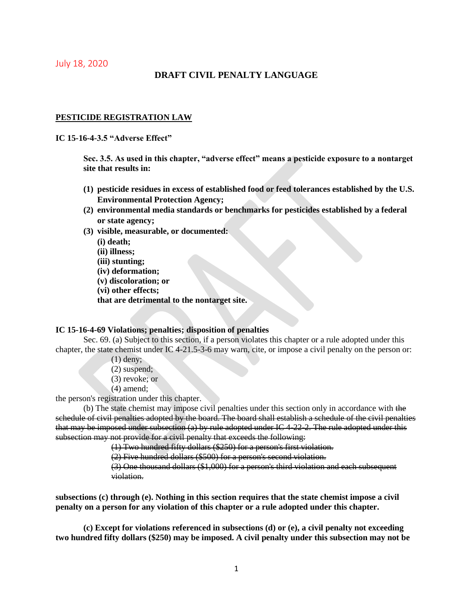July 18, 2020

# **DRAFT CIVIL PENALTY LANGUAGE**

### **PESTICIDE REGISTRATION LAW**

**IC 15-16-4-3.5 "Adverse Effect"**

**Sec. 3.5. As used in this chapter, "adverse effect" means a pesticide exposure to a nontarget site that results in:** 

- **(1) pesticide residues in excess of established food or feed tolerances established by the U.S. Environmental Protection Agency;**
- **(2) environmental media standards or benchmarks for pesticides established by a federal or state agency;**
- **(3) visible, measurable, or documented:**

**(i) death; (ii) illness; (iii) stunting; (iv) deformation; (v) discoloration; or (vi) other effects; that are detrimental to the nontarget site.**

### **IC 15-16-4-69 Violations; penalties; disposition of penalties**

Sec. 69. (a) Subject to this section, if a person violates this chapter or a rule adopted under this chapter, the state chemist under IC 4-21.5-3-6 may warn, cite, or impose a civil penalty on the person or:

- (1) deny;
- (2) suspend;
- (3) revoke; or
- (4) amend;

the person's registration under this chapter.

(b) The state chemist may impose civil penalties under this section only in accordance with the schedule of civil penalties adopted by the board. The board shall establish a schedule of the civil penalties that may be imposed under subsection  $(a)$  by rule adopted under IC 4-22-2. The rule adopted under this subsection may not provide for a civil penalty that exceeds the following:

(1) Two hundred fifty dollars (\$250) for a person's first violation.

(2) Five hundred dollars (\$500) for a person's second violation.

(3) One thousand dollars (\$1,000) for a person's third violation and each subsequent violation.

**subsections (c) through (e). Nothing in this section requires that the state chemist impose a civil penalty on a person for any violation of this chapter or a rule adopted under this chapter.**

**(c) Except for violations referenced in subsections (d) or (e), a civil penalty not exceeding two hundred fifty dollars (\$250) may be imposed. A civil penalty under this subsection may not be**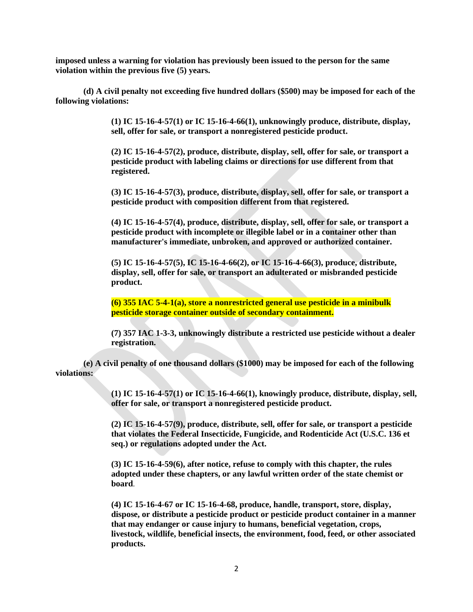**imposed unless a warning for violation has previously been issued to the person for the same violation within the previous five (5) years.**

**(d) A civil penalty not exceeding five hundred dollars (\$500) may be imposed for each of the following violations:**

> **(1) IC 15-16-4-57(1) or IC 15-16-4-66(1), unknowingly produce, distribute, display, sell, offer for sale, or transport a nonregistered pesticide product.**

> **(2) IC 15-16-4-57(2), produce, distribute, display, sell, offer for sale, or transport a pesticide product with labeling claims or directions for use different from that registered.**

> **(3) IC 15-16-4-57(3), produce, distribute, display, sell, offer for sale, or transport a pesticide product with composition different from that registered.**

> **(4) IC 15-16-4-57(4), produce, distribute, display, sell, offer for sale, or transport a pesticide product with incomplete or illegible label or in a container other than manufacturer's immediate, unbroken, and approved or authorized container.**

**(5) IC 15-16-4-57(5), IC 15-16-4-66(2), or IC 15-16-4-66(3), produce, distribute, display, sell, offer for sale, or transport an adulterated or misbranded pesticide product.**

**(6) 355 IAC 5-4-1(a), store a nonrestricted general use pesticide in a minibulk pesticide storage container outside of secondary containment.**

**(7) 357 IAC 1-3-3, unknowingly distribute a restricted use pesticide without a dealer registration.**

**(e) A civil penalty of one thousand dollars (\$1000) may be imposed for each of the following violations:**

> **(1) IC 15-16-4-57(1) or IC 15-16-4-66(1), knowingly produce, distribute, display, sell, offer for sale, or transport a nonregistered pesticide product.**

**(2) IC 15-16-4-57(9), produce, distribute, sell, offer for sale, or transport a pesticide that violates the Federal Insecticide, Fungicide, and Rodenticide Act (U.S.C. 136 et seq.) or regulations adopted under the Act.** 

**(3) IC 15-16-4-59(6), after notice, refuse to comply with this chapter, the rules adopted under these chapters, or any lawful written order of the state chemist or board**.

**(4) IC 15-16-4-67 or IC 15-16-4-68, produce, handle, transport, store, display, dispose, or distribute a pesticide product or pesticide product container in a manner that may endanger or cause injury to humans, beneficial vegetation, crops, livestock, wildlife, beneficial insects, the environment, food, feed, or other associated products.**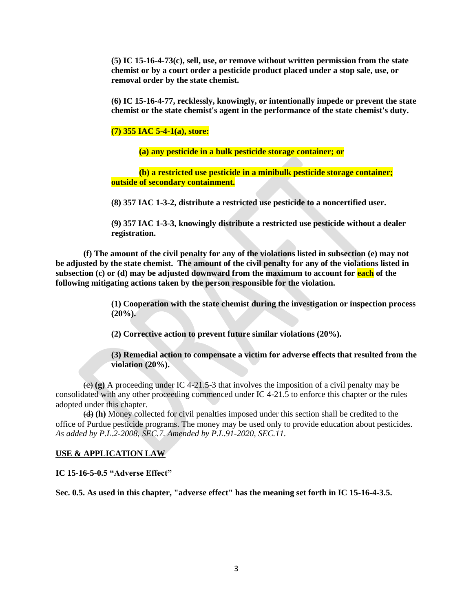**(5) IC 15-16-4-73(c), sell, use, or remove without written permission from the state chemist or by a court order a pesticide product placed under a stop sale, use, or removal order by the state chemist.**

**(6) IC 15-16-4-77, recklessly, knowingly, or intentionally impede or prevent the state chemist or the state chemist's agent in the performance of the state chemist's duty.**

#### **(7) 355 IAC 5-4-1(a), store:**

**(a) any pesticide in a bulk pesticide storage container; or** 

**(b) a restricted use pesticide in a minibulk pesticide storage container; outside of secondary containment.**

**(8) 357 IAC 1-3-2, distribute a restricted use pesticide to a noncertified user.**

**(9) 357 IAC 1-3-3, knowingly distribute a restricted use pesticide without a dealer registration.**

**(f) The amount of the civil penalty for any of the violations listed in subsection (e) may not be adjusted by the state chemist. The amount of the civil penalty for any of the violations listed in subsection (c) or (d) may be adjusted downward from the maximum to account for each of the following mitigating actions taken by the person responsible for the violation.**

> **(1) Cooperation with the state chemist during the investigation or inspection process (20%).**

**(2) Corrective action to prevent future similar violations (20%).**

**(3) Remedial action to compensate a victim for adverse effects that resulted from the violation (20%).**

 $\left(\frac{1}{\epsilon}\right)$  (g) A proceeding under IC 4-21.5-3 that involves the imposition of a civil penalty may be consolidated with any other proceeding commenced under IC 4-21.5 to enforce this chapter or the rules adopted under this chapter.

(d) **(h)** Money collected for civil penalties imposed under this section shall be credited to the office of Purdue pesticide programs. The money may be used only to provide education about pesticides. *As added by P.L.2-2008, SEC.7. Amended by P.L.91-2020, SEC.11.*

## **USE & APPLICATION LAW**

**IC 15-16-5-0.5 "Adverse Effect"**

**Sec. 0.5. As used in this chapter, "adverse effect" has the meaning set forth in IC 15-16-4-3.5.**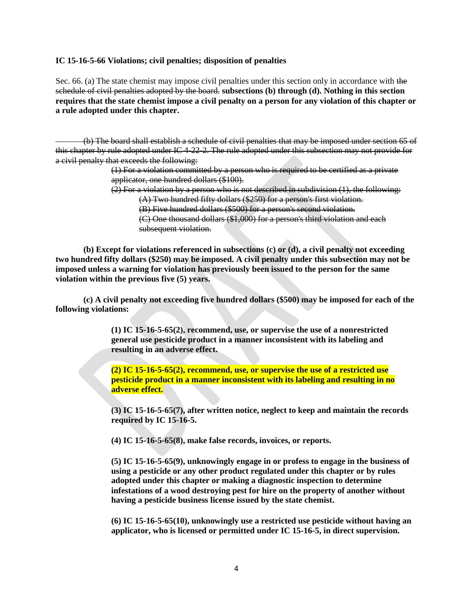#### **IC 15-16-5-66 Violations; civil penalties; disposition of penalties**

Sec. 66. (a) The state chemist may impose civil penalties under this section only in accordance with the schedule of civil penalties adopted by the board. **subsections (b) through (d). Nothing in this section requires that the state chemist impose a civil penalty on a person for any violation of this chapter or a rule adopted under this chapter.**

(b) The board shall establish a schedule of civil penalties that may be imposed under section 65 of this chapter by rule adopted under IC 4-22-2. The rule adopted under this subsection may not provide for a civil penalty that exceeds the following:

> (1) For a violation committed by a person who is required to be certified as a private applicator, one hundred dollars (\$100).

(2) For a violation by a person who is not described in subdivision (1), the following:

(A) Two hundred fifty dollars (\$250) for a person's first violation.

(B) Five hundred dollars (\$500) for a person's second violation.

(C) One thousand dollars (\$1,000) for a person's third violation and each subsequent violation.

**(b) Except for violations referenced in subsections (c) or (d), a civil penalty not exceeding two hundred fifty dollars (\$250) may be imposed. A civil penalty under this subsection may not be imposed unless a warning for violation has previously been issued to the person for the same violation within the previous five (5) years.**

**(c) A civil penalty not exceeding five hundred dollars (\$500) may be imposed for each of the following violations:**

> **(1) IC 15-16-5-65(2), recommend, use, or supervise the use of a nonrestricted general use pesticide product in a manner inconsistent with its labeling and resulting in an adverse effect.**

**(2) IC 15-16-5-65(2), recommend, use, or supervise the use of a restricted use pesticide product in a manner inconsistent with its labeling and resulting in no adverse effect.**

**(3) IC 15-16-5-65(7), after written notice, neglect to keep and maintain the records required by IC 15-16-5.**

**(4) IC 15-16-5-65(8), make false records, invoices, or reports.**

**(5) IC 15-16-5-65(9), unknowingly engage in or profess to engage in the business of using a pesticide or any other product regulated under this chapter or by rules adopted under this chapter or making a diagnostic inspection to determine infestations of a wood destroying pest for hire on the property of another without having a pesticide business license issued by the state chemist.**

**(6) IC 15-16-5-65(10), unknowingly use a restricted use pesticide without having an applicator, who is licensed or permitted under IC 15-16-5, in direct supervision.**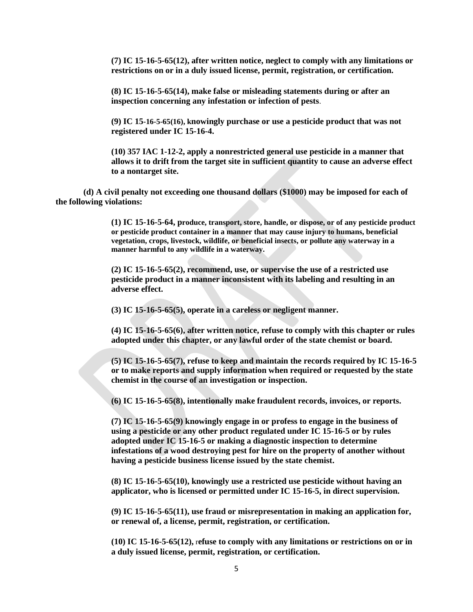**(7) IC 15-16-5-65(12), after written notice, neglect to comply with any limitations or restrictions on or in a duly issued license, permit, registration, or certification.**

**(8) IC 15-16-5-65(14), make false or misleading statements during or after an inspection concerning any infestation or infection of pests**.

**(9) IC 15-16-5-65(16), knowingly purchase or use a pesticide product that was not registered under IC 15-16-4.**

**(10) 357 IAC 1-12-2, apply a nonrestricted general use pesticide in a manner that allows it to drift from the target site in sufficient quantity to cause an adverse effect to a nontarget site.**

**(d) A civil penalty not exceeding one thousand dollars (\$1000) may be imposed for each of the following violations:**

> **(1) IC 15-16-5-64, produce, transport, store, handle, or dispose, or of any pesticide product or pesticide product container in a manner that may cause injury to humans, beneficial vegetation, crops, livestock, wildlife, or beneficial insects, or pollute any waterway in a manner harmful to any wildlife in a waterway.**

**(2) IC 15-16-5-65(2), recommend, use, or supervise the use of a restricted use pesticide product in a manner inconsistent with its labeling and resulting in an adverse effect.**

**(3) IC 15-16-5-65(5), operate in a careless or negligent manner.**

**(4) IC 15-16-5-65(6), after written notice, refuse to comply with this chapter or rules adopted under this chapter, or any lawful order of the state chemist or board.**

**(5) IC 15-16-5-65(7), refuse to keep and maintain the records required by IC 15-16-5 or to make reports and supply information when required or requested by the state chemist in the course of an investigation or inspection.**

**(6) IC 15-16-5-65(8), intentionally make fraudulent records, invoices, or reports.**

**(7) IC 15-16-5-65(9) knowingly engage in or profess to engage in the business of using a pesticide or any other product regulated under IC 15-16-5 or by rules adopted under IC 15-16-5 or making a diagnostic inspection to determine infestations of a wood destroying pest for hire on the property of another without having a pesticide business license issued by the state chemist.**

**(8) IC 15-16-5-65(10), knowingly use a restricted use pesticide without having an applicator, who is licensed or permitted under IC 15-16-5, in direct supervision.**

**(9) IC 15-16-5-65(11), use fraud or misrepresentation in making an application for, or renewal of, a license, permit, registration, or certification.**

**(10) IC 15-16-5-65(12),** r**efuse to comply with any limitations or restrictions on or in a duly issued license, permit, registration, or certification.**